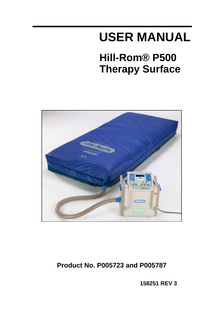# **USER MANUAL**

# **Hill-Rom® P500 Therapy Surface**



## **Product No. P005723 and P005787**

**158251 REV 3**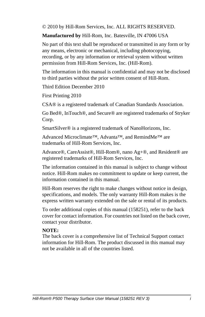© 2010 by Hill-Rom Services, Inc. ALL RIGHTS RESERVED.

**Manufactured by** Hill-Rom, Inc. Batesville, IN 47006 USA

No part of this text shall be reproduced or transmitted in any form or by any means, electronic or mechanical, including photocopying, recording, or by any information or retrieval system without written permission from Hill-Rom Services, Inc. (Hill-Rom).

The information in this manual is confidential and may not be disclosed to third parties without the prior written consent of Hill-Rom.

Third Edition December 2010

First Printing 2010

CSA® is a registered trademark of Canadian Standards Association.

Go Bed®, InTouch®, and Secure® are registered trademarks of Stryker Corp.

SmartSilver® is a registered trademark of NanoHorizons, Inc.

Advanced Microclimate™, Advanta™, and RemindMe™ are trademarks of Hill-Rom Services, Inc.

Advance®, CareAssist®, Hill-Rom®, nano Ag+®, and Resident® are registered trademarks of Hill-Rom Services, Inc.

The information contained in this manual is subject to change without notice. Hill-Rom makes no commitment to update or keep current, the information contained in this manual.

Hill-Rom reserves the right to make changes without notice in design, specifications, and models. The only warranty Hill-Rom makes is the express written warranty extended on the sale or rental of its products.

To order additional copies of this manual (158251), refer to the back cover for contact information. For countries not listed on the back cover, contact your distributor.

#### **NOTE:**

The back cover is a comprehensive list of Technical Support contact information for Hill-Rom. The product discussed in this manual may not be available in all of the countries listed.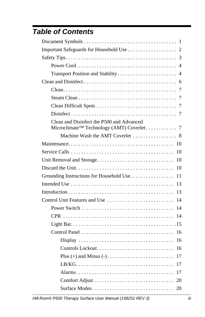## *Table of Contents*

| Clean and Disinfect the P500 and Advanced      |
|------------------------------------------------|
|                                                |
|                                                |
| 10                                             |
| Unit Removal and Storage<br>10                 |
| 10                                             |
| Grounding Instructions for Household Use<br>11 |
| 13                                             |
| 13                                             |
| Control Unit Features and Use<br>14            |
| 14                                             |
| 14                                             |
|                                                |
| 16                                             |
| 16                                             |
| 16                                             |
| 17                                             |
| 17                                             |
| 17                                             |
| 20                                             |
| 20                                             |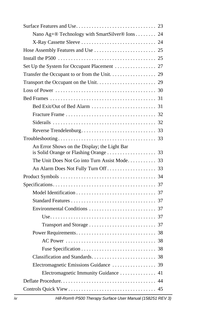| Nano Ag+® Technology with SmartSilver® Ions 24 |
|------------------------------------------------|
|                                                |
|                                                |
|                                                |
|                                                |
|                                                |
|                                                |
|                                                |
|                                                |
|                                                |
|                                                |
|                                                |
|                                                |
|                                                |
| An Error Shows on the Display; the Light Bar   |
| The Unit Does Not Go into Turn Assist Mode 33  |
|                                                |
|                                                |
|                                                |
|                                                |
|                                                |
|                                                |
|                                                |
|                                                |
|                                                |
|                                                |
|                                                |
|                                                |
|                                                |
| Electromagnetic Immunity Guidance  41          |
|                                                |
|                                                |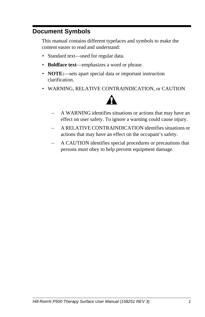### <span id="page-6-0"></span>**Document Symbols**

This manual contains different typefaces and symbols to make the content easier to read and understand:

- Standard text—used for regular data.
- **Boldface text**—emphasizes a word or phrase.
- **NOTE:**—sets apart special data or important instruction clarification.
- WARNING, RELATIVE CONTRAINDICATION, or CAUTION



- A WARNING identifies situations or actions that may have an effect on user safety. To ignore a warning could cause injury.
- A RELATIVE CONTRAINDICATION identifies situations or actions that may have an effect on the occupant's safety.
- A CAUTION identifies special procedures or precautions that persons must obey to help prevent equipment damage.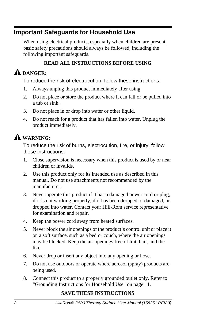### <span id="page-7-0"></span>**Important Safeguards for Household Use**

When using electrical products, especially when children are present, basic safety precautions should always be followed, including the following important safeguards.

### **READ ALL INSTRUCTIONS BEFORE USING**

## A DANGER:

To reduce the risk of electrocution, follow these instructions:

- 1. Always unplug this product immediately after using.
- 2. Do not place or store the product where it can fall or be pulled into a tub or sink.
- 3. Do not place in or drop into water or other liquid.
- 4. Do not reach for a product that has fallen into water. Unplug the product immediately.

## **WARNING:**

To reduce the risk of burns, electrocution, fire, or injury, follow these instructions:

- 1. Close supervision is necessary when this product is used by or near children or invalids.
- 2. Use this product only for its intended use as described in this manual. Do not use attachments not recommended by the manufacturer.
- 3. Never operate this product if it has a damaged power cord or plug, if it is not working properly, if it has been dropped or damaged, or dropped into water. Contact your Hill-Rom service representative for examination and repair.
- 4. Keep the power cord away from heated surfaces.
- 5. Never block the air openings of the product's control unit or place it on a soft surface, such as a bed or couch, where the air openings may be blocked. Keep the air openings free of lint, hair, and the like.
- 6. Never drop or insert any object into any opening or hose.
- 7. Do not use outdoors or operate where aerosol (spray) products are being used.
- 8. Connect this product to a properly grounded outlet only. Refer to ["Grounding Instructions for Household Use" on page 11](#page-16-0).

### **SAVE THESE INSTRUCTIONS**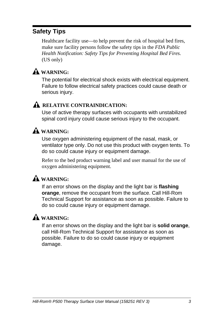### <span id="page-8-0"></span>**Safety Tips**

Healthcare facility use—to help prevent the risk of hospital bed fires, make sure facility persons follow the safety tips in the *FDA Public Health Notification: Safety Tips for Preventing Hospital Bed Fires.* (US only)

### **WARNING:**

The potential for electrical shock exists with electrical equipment. Failure to follow electrical safety practices could cause death or serious injury.

### A RELATIVE CONTRAINDICATION:

Use of active therapy surfaces with occupants with unstabilized spinal cord injury could cause serious injury to the occupant.

### **WARNING:**

Use oxygen administering equipment of the nasal, mask, or ventilator type only. Do not use this product with oxygen tents. To do so could cause injury or equipment damage.

Refer to the bed product warning label and user manual for the use of oxygen administering equipment.

## **WARNING:**

If an error shows on the display and the light bar is **flashing orange**, remove the occupant from the surface. Call Hill-Rom Technical Support for assistance as soon as possible. Failure to do so could cause injury or equipment damage.

## **WARNING:**

If an error shows on the display and the light bar is **solid orange**, call Hill-Rom Technical Support for assistance as soon as possible. Failure to do so could cause injury or equipment damage.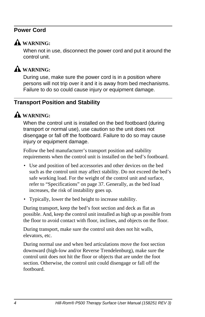#### <span id="page-9-0"></span>**Power Cord**



#### **WARNING:**

When not in use, disconnect the power cord and put it around the control unit.



### **WARNING:**

During use, make sure the power cord is in a position where persons will not trip over it and it is away from bed mechanisms. Failure to do so could cause injury or equipment damage.

#### <span id="page-9-1"></span>**Transport Position and Stability**

### **WARNING:**

When the control unit is installed on the bed footboard (during transport or normal use), use caution so the unit does not disengage or fall off the footboard. Failure to do so may cause injury or equipment damage.

Follow the bed manufacturer's transport position and stability requirements when the control unit is installed on the bed's footboard.

- Use and position of bed accessories and other devices on the bed such as the control unit may affect stability. Do not exceed the bed's safe working load. For the weight of the control unit and surface, refer to ["Specifications" on page 37](#page-42-0). Generally, as the bed load increases, the risk of instability goes up.
- Typically, lower the bed height to increase stability.

During transport, keep the bed's foot section and deck as flat as possible. And, keep the control unit installed as high up as possible from the floor to avoid contact with floor, inclines, and objects on the floor.

During transport, make sure the control unit does not hit walls, elevators, etc.

During normal use and when bed articulations move the foot section downward (high-low and/or Reverse Trendelenburg), make sure the control unit does not hit the floor or objects that are under the foot section. Otherwise, the control unit could disengage or fall off the footboard.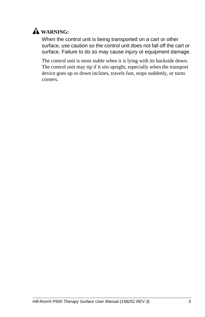

When the control unit is being transported on a cart or other surface, use caution so the control unit does not fall off the cart or surface. Failure to do so may cause injury or equipment damage.

The control unit is most stable when it is lying with its backside down. The control unit may tip if it sits upright, especially when the transport device goes up or down inclines, travels fast, stops suddenly, or turns corners.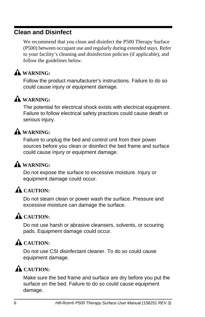### <span id="page-11-0"></span>**Clean and Disinfect**

We recommend that you clean and disinfect the P500 Therapy Surface (P500) between occupant use and regularly during extended stays. Refer to your facility's cleaning and disinfection policies (if applicable), and follow the guidelines below.

## **WARNING:**

Follow the product manufacturer's instructions. Failure to do so could cause injury or equipment damage.

### **WARNING:**

The potential for electrical shock exists with electrical equipment. Failure to follow electrical safety practices could cause death or serious injury.

### **WARNING:**

Failure to unplug the bed and control unit from their power sources before you clean or disinfect the bed frame and surface could cause injury or equipment damage.

## **WARNING:**

Do not expose the surface to excessive moisture. Injury or equipment damage could occur.

## A CAUTION:

Do not steam clean or power wash the surface. Pressure and excessive moisture can damage the surface.

## **A** CAUTION:

Do not use harsh or abrasive cleansers, solvents, or scouring pads. Equipment damage could occur.

## A CAUTION:

Do not use CSI disinfectant cleaner. To do so could cause equipment damage.

## A CAUTION:

Make sure the bed frame and surface are dry before you put the surface on the bed. Failure to do so could cause equipment damage.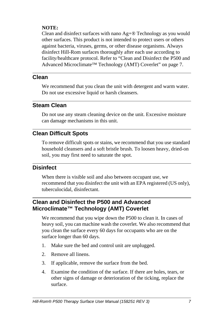#### **NOTE:**

Clean and disinfect surfaces with nano Ag+® Technology as you would other surfaces. This product is not intended to protect users or others against bacteria, viruses, germs, or other disease organisms. Always disinfect Hill-Rom surfaces thoroughly after each use according to facility/healthcare protocol. Refer to ["Clean and Disinfect the P500 and](#page-12-4)  [Advanced Microclimate™ Technology \(AMT\) Coverlet" on page 7.](#page-12-4)

#### <span id="page-12-0"></span>**Clean**

We recommend that you clean the unit with detergent and warm water. Do not use excessive liquid or harsh cleansers.

### <span id="page-12-1"></span>**Steam Clean**

Do not use any steam cleaning device on the unit. Excessive moisture can damage mechanisms in this unit.

### <span id="page-12-2"></span>**Clean Difficult Spots**

To remove difficult spots or stains, we recommend that you use standard household cleansers and a soft bristle brush. To loosen heavy, dried-on soil, you may first need to saturate the spot.

### <span id="page-12-3"></span>**Disinfect**

When there is visible soil and also between occupant use, we recommend that you disinfect the unit with an EPA registered (US only), tuberculocidal, disinfectant.

#### <span id="page-12-4"></span>**Clean and Disinfect the P500 and Advanced Microclimate™ Technology (AMT) Coverlet**

We recommend that you wipe down the P500 to clean it. In cases of heavy soil, you can machine wash the coverlet. We also recommend that you clean the surface every 60 days for occupants who are on the surface longer than 60 days.

- 1. Make sure the bed and control unit are unplugged.
- 2. Remove all linens.
- 3. If applicable, remove the surface from the bed.
- 4. Examine the condition of the surface. If there are holes, tears, or other signs of damage or deterioration of the ticking, replace the surface.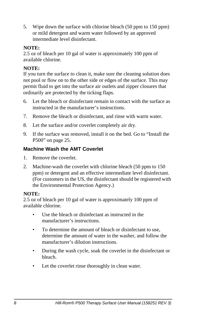5. Wipe down the surface with chlorine bleach (50 ppm to 150 ppm) or mild detergent and warm water followed by an approved intermediate level disinfectant.

#### **NOTE:**

2.5 oz of bleach per 10 gal of water is approximately 100 ppm of available chlorine.

#### **NOTE:**

If you turn the surface to clean it, make sure the cleaning solution does not pool or flow on to the other side or edges of the surface. This may permit fluid to get into the surface air outlets and zipper closures that ordinarily are protected by the ticking flaps.

- 6. Let the bleach or disinfectant remain in contact with the surface as instructed in the manufacturer's instructions.
- 7. Remove the bleach or disinfectant, and rinse with warm water.
- 8. Let the surface and/or coverlet completely air dry.
- 9. If the surface was removed, install it on the bed. [Go to "Install the](#page-30-1)  [P500" on page 25.](#page-30-1)

#### <span id="page-13-0"></span>**Machine Wash the AMT Coverlet**

- 1. Remove the coverlet.
- 2. Machine-wash the coverlet with chlorine bleach (50 ppm to 150 ppm) or detergent and an effective intermediate level disinfectant. (For customers in the US, the disinfectant should be registered with the Environmental Protection Agency.)

#### **NOTE:**

2.5 oz of bleach per 10 gal of water is approximately 100 ppm of available chlorine.

- Use the bleach or disinfectant as instructed in the manufacturer's instructions.
- To determine the amount of bleach or disinfectant to use, determine the amount of water in the washer, and follow the manufacturer's dilution instructions.
- During the wash cycle, soak the coverlet in the disinfectant or bleach.
- Let the coverlet rinse thoroughly in clean water.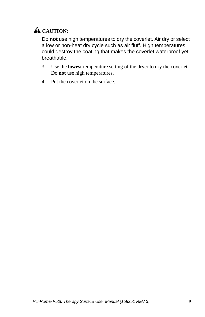

Do **not** use high temperatures to dry the coverlet. Air dry or select a low or non-heat dry cycle such as air fluff. High temperatures could destroy the coating that makes the coverlet waterproof yet breathable.

- 3. Use the **lowest** temperature setting of the dryer to dry the coverlet. Do **not** use high temperatures.
- 4. Put the coverlet on the surface.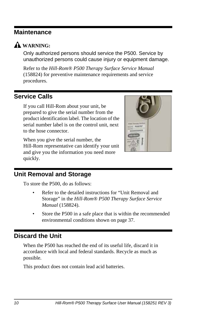### <span id="page-15-0"></span>**Maintenance**



**WARNING:**

Only authorized persons should service the P500. Service by unauthorized persons could cause injury or equipment damage.

Refer to the *Hill-Rom® P500 Therapy Surface Service Manual* (158824) for preventive maintenance requirements and service procedures.

### <span id="page-15-1"></span>**Service Calls**

If you call Hill-Rom about your unit, be prepared to give the serial number from the product identification label. The location of the serial number label is on the control unit, next to the hose connector.

When you give the serial number, the Hill-Rom representative can identify your unit and give you the information you need more quickly.



### <span id="page-15-2"></span>**Unit Removal and Storage**

To store the P500, do as follows:

- Refer to the detailed instructions for "Unit Removal and Storage" in the *Hill-Rom® P500 Therapy Surface Service Manual* (158824).
- Store the P500 in a safe place that is within the recommended environmental conditions shown on [page 37.](#page-42-3)

### <span id="page-15-3"></span>**Discard the Unit**

When the P500 has reached the end of its useful life, discard it in accordance with local and federal standards. Recycle as much as possible.

This product does not contain lead acid batteries.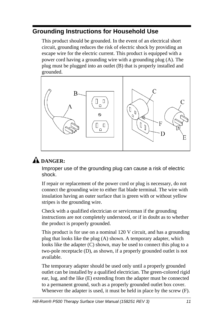### <span id="page-16-0"></span>**Grounding Instructions for Household Use**

This product should be grounded. In the event of an electrical short circuit, grounding reduces the risk of electric shock by providing an escape wire for the electric current. This product is equipped with a power cord having a grounding wire with a grounding plug (A). The plug must be plugged into an outlet (B) that is properly installed and grounded.



## **DANGER:**

Improper use of the grounding plug can cause a risk of electric shock.

If repair or replacement of the power cord or plug is necessary, do not connect the grounding wire to either flat blade terminal. The wire with insulation having an outer surface that is green with or without yellow stripes is the grounding wire.

Check with a qualified electrician or serviceman if the grounding instructions are not completely understood, or if in doubt as to whether the product is properly grounded.

This product is for use on a nominal 120 V circuit, and has a grounding plug that looks like the plug (A) shown. A temporary adapter, which looks like the adapter (C) shown, may be used to connect this plug to a two-pole receptacle (D), as shown, if a properly grounded outlet is not available.

The temporary adapter should be used only until a properly grounded outlet can be installed by a qualified electrician. The green-colored rigid ear, lug, and the like (E) extending from the adapter must be connected to a permanent ground, such as a properly grounded outlet box cover. Whenever the adapter is used, it must be held in place by the screw (F).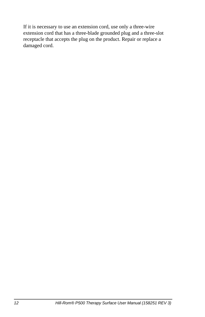If it is necessary to use an extension cord, use only a three-wire extension cord that has a three-blade grounded plug and a three-slot receptacle that accepts the plug on the product. Repair or replace a damaged cord.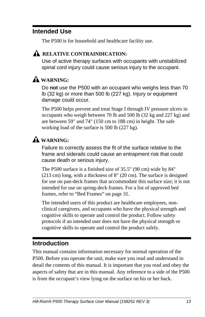### <span id="page-18-0"></span>**Intended Use**

The P500 is for household and healthcare facility use.

### A RELATIVE CONTRAINDICATION:

Use of active therapy surfaces with occupants with unstabilized spinal cord injury could cause serious injury to the occupant.

## **WARNING:**

Do **not** use the P500 with an occupant who weighs less than 70 lb (32 kg) or more than 500 lb (227 kg). Injury or equipment damage could occur.

The P500 helps prevent and treat Stage I through IV pressure ulcers in occupants who weigh between 70 lb and 500 lb (32 kg and 227 kg) and are between 59" and 74" (150 cm to 188 cm) in height. The safe working load of the surface is 500 lb (227 kg).

## **WARNING:**

Failure to correctly assess the fit of the surface relative to the frame and siderails could cause an entrapment risk that could cause death or serious injury.

The P500 surface is a finished size of 35.5" (90 cm) wide by 84" (213 cm) long, with a thickness of 8" (20 cm). The surface is designed for use on pan-deck frames that accommodate this surface size; it is not intended for use on spring-deck frames. For a list of approved bed frames, refer to ["Bed Frames" on page 31.](#page-36-0)

The intended users of this product are healthcare employees, nonclinical caregivers, and occupants who have the physical strength and cognitive skills to operate and control the product. Follow safety protocols if an intended user does not have the physical strength or cognitive skills to operate and control the product safely.

### <span id="page-18-1"></span>**Introduction**

This manual contains information necessary for normal operation of the P500. Before you operate the unit, make sure you read and understand in detail the contents of this manual. It is important that you read and obey the aspects of safety that are in this manual. Any reference to a side of the P500 is from the occupant's view lying on the surface on his or her back.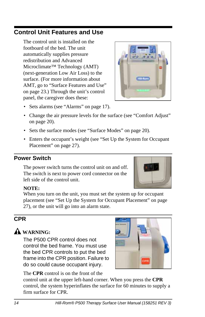### <span id="page-19-0"></span>**Control Unit Features and Use**

The control unit is installed on the footboard of the bed. The unit automatically supplies pressure redistribution and Advanced Microclimate™ Technology (AMT) (next-generation Low Air Loss) to the surface. (For more information about AMT, [go to "Surface Features and Use"](#page-28-0)  [on page 23.](#page-28-0)) Through the unit's control panel, the caregiver does these:

- Sets alarms [\(see "Alarms" on page 17\).](#page-22-2)
- Change the air pressure levels for the surface [\(see "Comfort Adjust"](#page-25-0)  [on page 20\).](#page-25-0)
- Sets the surface modes [\(see "Surface Modes" on page 20\).](#page-25-1)
- Enters the occupant's weight (see ["Set Up the System for Occupant](#page-32-0)  [Placement" on page 27](#page-32-0)).

### <span id="page-19-1"></span>**Power Switch**

The power switch turns the control unit on and off. The switch is next to power cord connector on the left side of the control unit.

#### **NOTE:**

When you turn on the unit, you must set the system up for occupant placement [\(see "Set Up the System for Occupant Placement" on page](#page-32-0)  [27\)](#page-32-0), or the unit will go into an alarm state.

### <span id="page-19-2"></span>**CPR**

## **WARNING:**

The P500 CPR control does not control the bed frame. You must use the bed CPR controls to put the bed frame into the CPR position. Failure to do so could cause occupant injury.

The **CPR** control is on the front of the control unit at the upper left-hand corner. When you press the **CPR**

control, the system hyperinflates the surface for 60 minutes to supply a firm surface for CPR.





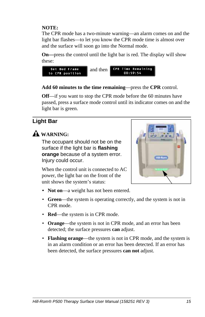#### **NOTE:**

The CPR mode has a two-minute warning—an alarm comes on and the light bar flashes—to let you know the CPR mode time is almost over and the surface will soon go into the Normal mode.

**On—**press the control until the light bar is red. The display will show these:



#### **Add 60 minutes to the time remaining**—press the **CPR** control.

**Off**—if you want to stop the CPR mode before the 60 minutes have passed, press a surface mode control until its indicator comes on and the light bar is green.

### <span id="page-20-0"></span>**Light Bar**

**WARNING:**

The occupant should not be on the surface if the light bar is **flashing orange** because of a system error. Injury could occur.

When the control unit is connected to AC power, the light bar on the front of the unit shows the system's status:



- **Green**—the system is operating correctly, and the system is not in CPR mode.
- **Red**—the system is in CPR mode.
- **Orange**—the system is not in CPR mode, and an error has been detected; the surface pressures **can** adjust.
- **Flashing orange**—the system is not in CPR mode, and the system is in an alarm condition or an error has been detected. If an error has been detected, the surface pressures **can not** adjust.

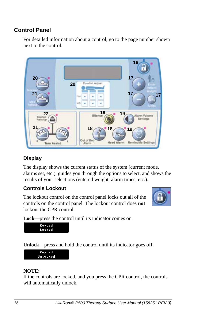### <span id="page-21-0"></span>**Control Panel**

For detailed information about a control, go to the page number shown next to the control.



### <span id="page-21-1"></span>**Display**

The display shows the current status of the system (current mode, alarms set, etc.), guides you through the options to select, and shows the results of your selections (entered weight, alarm times, etc.).

#### <span id="page-21-2"></span>**Controls Lockout**

The lockout control on the control panel locks out all of the controls on the control panel. The lockout control does **not** lockout the CPR control.



**Lock**—press the control until its indicator comes on.



**Unlock**—press and hold the control until its indicator goes off.



#### **NOTE:**

If the controls are locked, and you press the CPR control, the controls will automatically unlock.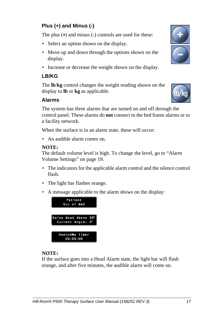### <span id="page-22-0"></span>**Plus (+) and Minus (-)**

The plus (**+**) and minus (**-**) controls are used for these:

- Select an option shown on the display.
- Move up and down through the options shown on the display.
- Increase or decrease the weight shown on the display.

#### <span id="page-22-1"></span>**LB/KG**

The **lb**/**kg** control changes the weight reading shown on the display to **lb** or **kg** as applicable.

#### <span id="page-22-2"></span>**Alarms**

The system has three alarms that are turned on and off through the control panel. These alarms do **not** connect to the bed frame alarms or to a facility network.

When the surface is in an alarm state, these will occur:

• An audible alarm comes on.

#### **NOTE:**

The default volume level is high. To change the level, [go to "Alarm](#page-24-1)  [Volume Settings" on page 19.](#page-24-1) 

- The indicators for the applicable alarm control and the silence control flash.
- The light bar flashes orange.
- A message applicable to the alarm shows on the display:



#### **NOTE:**

If the surface goes into a Head Alarm state, the light bar will flash orange, and after five minutes, the audible alarm will come on.



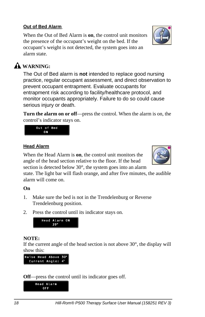### *18 Hill-Rom® P500 Therapy Surface User Manual (158251 REV 3)*

### <span id="page-23-0"></span>**Out of Bed Alarm**

When the Out of Bed Alarm is **on**, the control unit monitors the presence of the occupant's weight on the bed. If the occupant's weight is not detected, the system goes into an alarm state.

## **WARNING:**

The Out of Bed alarm is **not** intended to replace good nursing practice, regular occupant assessment, and direct observation to prevent occupant entrapment. Evaluate occupants for entrapment risk according to facility/healthcare protocol, and monitor occupants appropriately. Failure to do so could cause serious injury or death.

**Turn the alarm on or off**—press the control. When the alarm is on, the control's indicator stays on.

### <span id="page-23-1"></span>**Head Alarm**

Out of Bed 0N

When the Head Alarm is **on**, the control unit monitors the angle of the head section relative to the floor. If the head section is detected below 30°, the system goes into an alarm

state. The light bar will flash orange, and after five minutes, the audible alarm will come on.

#### **On**

- 1. Make sure the bed is not in the Trendelenburg or Reverse Trendelenburg position.
- 2. Press the control until its indicator stays on.



If the current angle of the head section is not above 30°, the display will show this:



Head Alarm ON  $39^\circ$ 

**Off**—press the control until its indicator goes off.





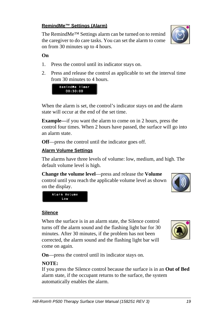#### <span id="page-24-2"></span>**RemindMe™ Settings (Alarm)**

The RemindMe™ Settings alarm can be turned on to remind the caregiver to do care tasks. You can set the alarm to come on from 30 minutes up to 4 hours.



- 1. Press the control until its indicator stays on.
- 2. Press and release the control as applicable to set the interval time from 30 minutes to 4 hours.

RemindMe Timer  $00:30:00$ 

When the alarm is set, the control's indicator stays on and the alarm state will occur at the end of the set time.

**Example—**if you want the alarm to come on in 2 hours, press the control four times. When 2 hours have passed, the surface will go into an alarm state.

**Off**—press the control until the indicator goes off.

#### <span id="page-24-1"></span>**Alarm Volume Settings**

Alarm Volume Low

The alarms have three levels of volume: low, medium, and high. The default volume level is high.

**Change the volume level**—press and release the **Volume** control until you reach the applicable volume level as shown on the display.



#### <span id="page-24-0"></span>**Silence**

When the surface is in an alarm state, the Silence control turns off the alarm sound and the flashing light bar for 30 minutes. After 30 minutes, if the problem has not been corrected, the alarm sound and the flashing light bar will come on again.

**On**—press the control until its indicator stays on.

#### **NOTE:**

If you press the Silence control because the surface is in an **Out of Bed** alarm state, if the occupant returns to the surface, the system automatically enables the alarm.

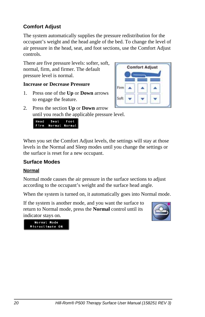### <span id="page-25-0"></span>**Comfort Adjust**

The system automatically supplies the pressure redistribution for the occupant's weight and the head angle of the bed. To change the level of air pressure in the head, seat, and foot sections, use the Comfort Adjust controls.

There are five pressure levels: softer, soft, normal, firm, and firmer. The default pressure level is normal.

#### **Increase or Decrease Pressure**

- 1. Press one of the **Up** or **Down** arrows to engage the feature.
- 2. Press the section **Up** or **Down** arrow until you reach the applicable pressure level.

| <b>Head Seat Foot</b> |  |
|-----------------------|--|
| Firm Normal Normal    |  |

When you set the Comfort Adjust levels, the settings will stay at those levels in the Normal and Sleep modes until you change the settings or the surface is reset for a new occupant.

#### <span id="page-25-1"></span>**Surface Modes**

#### <span id="page-25-2"></span>**Normal**

Normal mode causes the air pressure in the surface sections to adjust according to the occupant's weight and the surface head angle.

When the system is turned on, it automatically goes into Normal mode.

If the system is another mode, and you want the surface to return to Normal mode, press the **Normal** control until its indicator stays on.





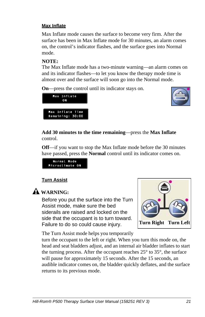#### <span id="page-26-0"></span>**Max Inflate**

Max Inflate mode causes the surface to become very firm. After the surface has been in Max Inflate mode for 30 minutes, an alarm comes on, the control's indicator flashes, and the surface goes into Normal mode.

#### **NOTE:**

The Max Inflate mode has a two-minute warning—an alarm comes on and its indicator flashes—to let you know the therapy mode time is almost over and the surface will soon go into the Normal mode.

**On**—press the control until its indicator stays on.





#### **Add 30 minutes to the time remaining**—press the **Max Inflate** control.

**Off**—if you want to stop the Max Inflate mode before the 30 minutes have passed, press the **Normal** control until its indicator comes on.

```
Normal Mode
Microclimate ON
```
#### <span id="page-26-1"></span>**Turn Assist**

### **WARNING:**

Before you put the surface into the Turn Assist mode, make sure the bed siderails are raised and locked on the side that the occupant is to turn toward. Failure to do so could cause injury.



The Turn Assist mode helps you temporarily

turn the occupant to the left or right. When you turn this mode on, the head and seat bladders adjust, and an internal air bladder inflates to start the turning process. After the occupant reaches 25° to 35°, the surface will pause for approximately 15 seconds. After the 15 seconds, an audible indicator comes on, the bladder quickly deflates, and the surface returns to its previous mode.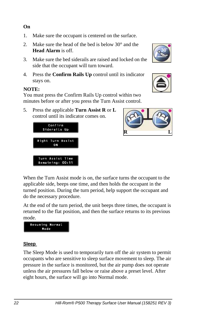#### *22 Hill-Rom® P500 Therapy Surface User Manual (158251 REV 3)*

#### **On**

- 1. Make sure the occupant is centered on the surface.
- 2. Make sure the head of the bed is below 30° and the **Head Alarm** is off.
- 3. Make sure the bed siderails are raised and locked on the side that the occupant will turn toward.
- 4. Press the **Confirm Rails Up** control until its indicator stays on.

#### **NOTE:**

<span id="page-27-0"></span>You must press the Confirm Rails Up control within two minutes before or after you press the Turn Assist control.

5. Press the applicable **Turn Assist R** or **L**  control until its indicator comes on.

> Confirm Siderails Up

Right Turn Assist 0N

Turn Assist Time Remaining: 00:11

When the Turn Assist mode is on, the surface turns the occupant to the applicable side, beeps one time, and then holds the occupant in the turned position. During the turn period, help support the occupant and do the necessary procedure.

At the end of the turn period, the unit beeps three times, the occupant is returned to the flat position, and then the surface returns to its previous mode.



Resuming Normal Mode

The Sleep Mode is used to temporarily turn off the air system to permit occupants who are sensitive to sleep surface movement to sleep. The air pressure in the surface is monitored, but the air pump does not operate unless the air pressures fall below or raise above a preset level. After eight hours, the surface will go into Normal mode.



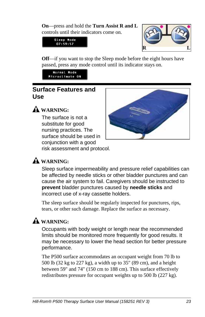**On**—press and hold the **Turn Assist R and L**  controls until their indicators come on.





**Off**—if you want to stop the Sleep mode before the eight hours have passed, press any mode control until its indicator stays on.

Normal Mode Microclimate ON

### <span id="page-28-0"></span>**Surface Features and Use**



### **WARNING:**

The surface is not a substitute for good nursing practices. The surface should be used in conjunction with a good risk assessment and protocol.

### **WARNING:**

Sleep surface impermeability and pressure relief capabilities can be affected by needle sticks or other bladder punctures and can cause the air system to fail. Caregivers should be instructed to **prevent** bladder punctures caused by **needle sticks** and incorrect use of x-ray cassette holders.

The sleep surface should be regularly inspected for punctures, rips, tears, or other such damage. Replace the surface as necessary.

### **WARNING:**

Occupants with body weight or length near the recommended limits should be monitored more frequently for good results. It may be necessary to lower the head section for better pressure performance.

The P500 surface accommodates an occupant weight from 70 lb to 500 lb (32 kg to 227 kg), a width up to 35" (89 cm), and a height between 59" and 74" (150 cm to 188 cm). This surface effectively redistributes pressure for occupant weights up to 500 lb (227 kg).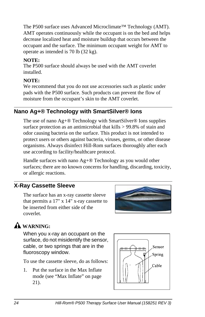The P500 surface uses Advanced Microclimate™ Technology (AMT). AMT operates continuously while the occupant is on the bed and helps decrease localized heat and moisture buildup that occurs between the occupant and the surface. The minimum occupant weight for AMT to operate as intended is 70 lb (32 kg).

#### **NOTE:**

The P500 surface should always be used with the AMT coverlet installed.

#### **NOTE:**

We recommend that you do not use accessories such as plastic under pads with the P500 surface. Such products can prevent the flow of moisture from the occupant's skin to the AMT coverlet.

### <span id="page-29-0"></span>**Nano Ag+® Technology with SmartSilver® Ions**

The use of nano Ag+® Technology with SmartSilver® Ions supplies surface protection as an antimicrobial that kills > 99.8% of stain and odor causing bacteria on the surface. This product is not intended to protect users or others against bacteria, viruses, germs, or other disease organisms. Always disinfect Hill-Rom surfaces thoroughly after each use according to facility/healthcare protocol.

Handle surfaces with nano Ag+® Technology as you would other surfaces; there are no known concerns for handling, discarding, toxicity, or allergic reactions.

### <span id="page-29-1"></span>**X-Ray Cassette Sleeve**

The surface has an x-ray cassette sleeve that permits a 17" x 14" x-ray cassette to be inserted from either side of the coverlet.



### **WARNING:**

When you x-ray an occupant on the surface, do not misidentify the sensor, cable, or two springs that are in the fluoroscopy window.

To use the cassette sleeve, do as follows:

1. Put the surface in the Max Inflate mode [\(see "Max Inflate" on page](#page-26-0)  [21\)](#page-26-0).

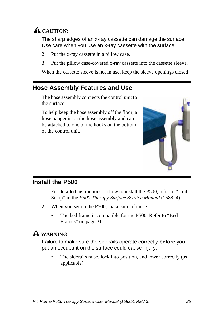

The sharp edges of an x-ray cassette can damage the surface. Use care when you use an x-ray cassette with the surface.

- 2. Put the x-ray cassette in a pillow case.
- 3. Put the pillow case-covered x-ray cassette into the cassette sleeve.

When the cassette sleeve is not in use, keep the sleeve openings closed.

### <span id="page-30-0"></span>**Hose Assembly Features and Use**

The hose assembly connects the control unit to the surface.

To help keep the hose assembly off the floor, a hose hanger is on the hose assembly and can be attached to one of the hooks on the bottom of the control unit.



#### <span id="page-30-1"></span>**Install the P500**

- 1. For detailed instructions on how to install the P500, refer to "Unit Setup" in the *P500 Therapy Surface Service Manual* (158824).
- 2. When you set up the P500, make sure of these:
	- The bed frame is compatible for the P500. Refer to "Bed [Frames" on page 31](#page-36-0).

### **WARNING:**

Failure to make sure the siderails operate correctly **before** you put an occupant on the surface could cause injury.

The siderails raise, lock into position, and lower correctly (as applicable).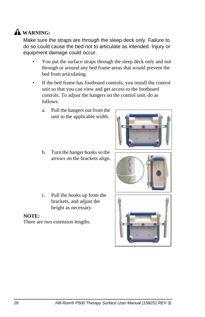## **WARNING:**

Make sure the straps are through the sleep deck only. Failure to do so could cause the bed not to articulate as intended. Injury or equipment damage could occur.

- You put the surface straps through the sleep deck only and not through or around any bed frame areas that would prevent the bed from articulating.
- If the bed frame has footboard controls, you install the control unit so that you can view and get access to the footboard controls. To adjust the hangers on the control unit, do as follows:
	- a. Pull the hangers out from the unit to the applicable width.
	- b. Turn the hanger hooks so the arrows on the brackets align.
	- c. Pull the hooks up from the brackets, and adjust the height as necessary.

#### **NOTE:**

There are two extension lengths.





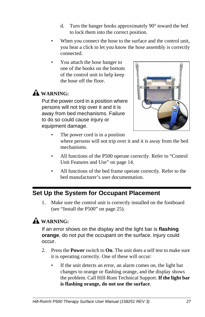- d. Turn the hanger hooks approximately 90° toward the bed to lock them into the correct position.
- When you connect the hose to the surface and the control unit, you hear a click to let you know the hose assembly is correctly connected.
- You attach the hose hanger to one of the hooks on the bottom of the control unit to help keep the hose off the floor.

### **WARNING:**

Put the power cord in a position where persons will not trip over it and it is away from bed mechanisms. Failure to do so could cause injury or equipment damage.



- The power cord is in a position where persons will not trip over it and it is away from the bed mechanisms.
- All functions of the P500 operate correctly. Refer to ["Control](#page-19-0)  [Unit Features and Use" on page 14.](#page-19-0)
- All functions of the bed frame operate correctly. Refer to the bed manufacturer's user documentation.

### <span id="page-32-0"></span>**Set Up the System for Occupant Placement**

1. Make sure the control unit is correctly installed on the footboard [\(see "Install the P500" on page 25\).](#page-30-1)

## **WARNING:**

If an error shows on the display and the light bar is **flashing orange**, do not put the occupant on the surface. Injury could occur.

- 2. Press the **Power** switch to **On**. The unit does a self test to make sure it is operating correctly. One of these will occur:
	- If the unit detects an error, an alarm comes on, the light bar changes to orange or flashing orange, and the display shows the problem. Call Hill-Rom Technical Support. **If the light bar is flashing orange, do not use the surface**.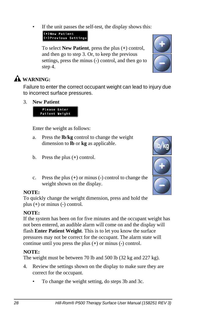If the unit passes the self-test, the display shows this:

(+) New Patient (-)Previous Settings

To select **New Patient**, press the plus (**+**) control, and then go to [step 3](#page-33-0). Or, to keep the previous settings, press the minus (**-**) control, and then go to [step 4.](#page-33-1)



### **WARNING:**

Failure to enter the correct occupant weight can lead to injury due to incorrect surface pressures.

<span id="page-33-0"></span>3. **New Patient**



Enter the weight as follows:

- a. Press the **lb**/**kg** control to change the weight dimension to **lb** or **kg** as applicable.
- b. Press the plus (**+**) control.
- c. Press the plus (**+**) or minus (**-**) control to change the weight shown on the display.

### **NOTE:**

To quickly change the weight dimension, press and hold the plus (**+**) or minus (**-**) control.

### **NOTE:**

If the system has been on for five minutes and the occupant weight has not been entered, an audible alarm will come on and the display will flash **Enter Patient Weight**. This is to let you know the surface pressures may not be correct for the occupant. The alarm state will continue until you press the plus (**+**) or minus (**-**) control.

### **NOTE:**

The weight must be between 70 lb and 500 lb (32 kg and 227 kg).

- <span id="page-33-1"></span>4. Review the settings shown on the display to make sure they are correct for the occupant.
	- To change the weight setting, do steps 3b and 3c.

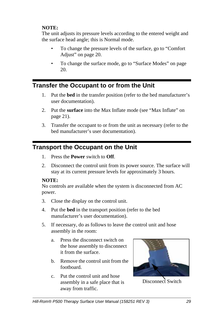#### **NOTE:**

The unit adjusts its pressure levels according to the entered weight and the surface head angle; this is Normal mode.

- To change the pressure levels of the surface, [go to "Comfort](#page-25-0)  [Adjust" on page 20.](#page-25-0)
- To change the surface mode, [go to "Surface Modes" on page](#page-25-1)  [20.](#page-25-1)

### <span id="page-34-0"></span>**Transfer the Occupant to or from the Unit**

- 1. Put the **bed** in the transfer position (refer to the bed manufacturer's user documentation).
- 2. Put the **surface** into the Max Inflate mode [\(see "Max Inflate" on](#page-26-0)  [page 21\)](#page-26-0).
- 3. Transfer the occupant to or from the unit as necessary (refer to the bed manufacturer's user documentation).

### <span id="page-34-1"></span>**Transport the Occupant on the Unit**

- 1. Press the **Power** switch to **Off**.
- 2. Disconnect the control unit from its power source. The surface will stay at its current pressure levels for approximately 3 hours.

#### **NOTE:**

No controls are available when the system is disconnected from AC power.

- 3. Close the display on the control unit.
- 4. Put the **bed** in the transport position (refer to the bed manufacturer's user documentation).
- 5. If necessary, do as follows to leave the control unit and hose assembly in the room:
	- a. Press the disconnect switch on the hose assembly to disconnect it from the surface.
	- b. Remove the control unit from the footboard.
	- c. Put the control unit and hose assembly in a safe place that is away from traffic.



Disconnect Switch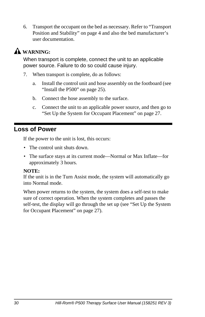6. Transport the occupant on the bed as necessary. Refer to ["Transport](#page-9-1)  [Position and Stability" on page 4](#page-9-1) and also the bed manufacturer's user documentation.

## **WARNING:**

When transport is complete, connect the unit to an applicable power source. Failure to do so could cause injury.

- 7. When transport is complete, do as follows:
	- a. Install the control unit and hose assembly on the footboard [\(see](#page-30-1)  ["Install the P500" on page 25\)](#page-30-1).
	- b. Connect the hose assembly to the surface.
	- c. Connect the unit to an applicable power source, and then [go to](#page-32-0)  ["Set Up the System for Occupant Placement" on page 27.](#page-32-0)

### <span id="page-35-0"></span>**Loss of Power**

If the power to the unit is lost, this occurs:

- The control unit shuts down.
- The surface stays at its current mode—Normal or Max Inflate—for approximately 3 hours.

#### **NOTE:**

If the unit is in the Turn Assist mode, the system will automatically go into Normal mode.

When power returns to the system, the system does a self-test to make sure of correct operation. When the system completes and passes the self-test, the display will go through the set up [\(see "Set Up the System](#page-32-0)  [for Occupant Placement" on page 27\).](#page-32-0)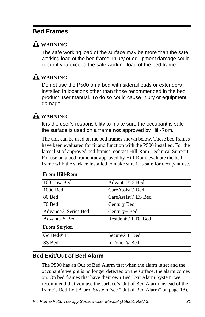### <span id="page-36-0"></span>**Bed Frames**

### **WARNING:**

The safe working load of the surface may be more than the safe working load of the bed frame. Injury or equipment damage could occur if you exceed the safe working load of the bed frame.

### **WARNING:**

Do not use the P500 on a bed with siderail pads or extenders installed in locations other than those recommended in the bed product user manual. To do so could cause injury or equipment damage.

### **WARNING:**

It is the user's responsibility to make sure the occupant is safe if the surface is used on a frame **not** approved by Hill-Rom.

The unit can be used on the bed frames shown below. These bed frames have been evaluated for fit and function with the P500 installed. For the latest list of approved bed frames, contact Hill-Rom Technical Support. For use on a bed frame **not** approved by Hill-Rom, evaluate the bed frame with the surface installed to make sure it is safe for occupant use.

| <b>From Hill-Rom</b>            |                                |
|---------------------------------|--------------------------------|
| 100 Low Bed                     | Advanta <sup>TM</sup> 2 Bed    |
| 1000 Bed                        | CareAssist <sup>®</sup> Bed    |
| 80 Bed                          | CareAssist <sup>®</sup> ES Bed |
| 70 Bed                          | Century Bed                    |
| Advance <sup>®</sup> Series Bed | Century+ Bed                   |
| Advanta <sup>™</sup> Bed        | Resident® LTC Bed              |
| <b>From Stryker</b>             |                                |
| Go Bed <sup>®</sup> II          | Secure <sup>®</sup> II Bed     |
| S <sub>3</sub> Bed              | InTouch <sup>®</sup> Bed       |

#### <span id="page-36-1"></span>**Bed Exit/Out of Bed Alarm**

The P500 has an Out of Bed Alarm that when the alarm is set and the occupant's weight is no longer detected on the surface, the alarm comes on. On bed frames that have their own Bed Exit Alarm System, we recommend that you use the surface's Out of Bed Alarm instead of the frame's Bed Exit Alarm System [\(see "Out of Bed Alarm" on page 18\)](#page-23-0).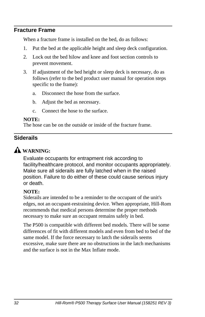#### <span id="page-37-0"></span>**Fracture Frame**

When a fracture frame is installed on the bed, do as follows:

- 1. Put the bed at the applicable height and sleep deck configuration.
- 2. Lock out the bed hilow and knee and foot section controls to prevent movement.
- 3. If adjustment of the bed height or sleep deck is necessary, do as follows (refer to the bed product user manual for operation steps specific to the frame):
	- a. Disconnect the hose from the surface.
	- b. Adjust the bed as necessary.
	- c. Connect the hose to the surface.

#### **NOTE:**

The hose can be on the outside or inside of the fracture frame.

#### <span id="page-37-1"></span>**Siderails**

### **WARNING:**

Evaluate occupants for entrapment risk according to facility/healthcare protocol, and monitor occupants appropriately. Make sure all siderails are fully latched when in the raised position. Failure to do either of these could cause serious injury or death.

#### **NOTE:**

Siderails are intended to be a reminder to the occupant of the unit's edges, not an occupant-restraining device. When appropriate, Hill-Rom recommends that medical persons determine the proper methods necessary to make sure an occupant remains safely in bed.

The P500 is compatible with different bed models. There will be some differences of fit with different models and even from bed to bed of the same model. If the force necessary to latch the siderails seems excessive, make sure there are no obstructions in the latch mechanisms and the surface is not in the Max Inflate mode.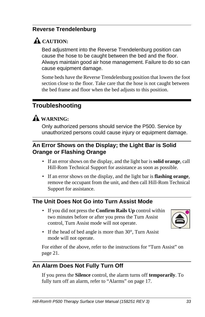### <span id="page-38-0"></span>**Reverse Trendelenburg**

### A CAUTION:

Bed adjustment into the Reverse Trendelenburg position can cause the hose to be caught between the bed and the floor. Always maintain good air hose management. Failure to do so can cause equipment damage.

Some beds have the Reverse Trendelenburg position that lowers the foot section close to the floor. Take care that the hose is not caught between the bed frame and floor when the bed adjusts to this position.

### <span id="page-38-1"></span>**Troubleshooting**

### **WARNING:**

Only authorized persons should service the P500. Service by unauthorized persons could cause injury or equipment damage.

### <span id="page-38-2"></span>**An Error Shows on the Display; the Light Bar is Solid Orange or Flashing Orange**

- If an error shows on the display, and the light bar is **solid orange**, call Hill-Rom Technical Support for assistance as soon as possible.
- If an error shows on the display, and the light bar is **flashing orange**, remove the occupant from the unit, and then call Hill-Rom Technical Support for assistance.

### <span id="page-38-3"></span>**The Unit Does Not Go into Turn Assist Mode**

• If you did not press the **Confirm Rails Up** control within two minutes before or after you press the Turn Assist control, Turn Assist mode will not operate.



• If the head of bed angle is more than 30°, Turn Assist mode will not operate.

For either of the above, refer to the instructions for ["Turn Assist" on](#page-26-1)  [page 21](#page-26-1).

### <span id="page-38-4"></span>**An Alarm Does Not Fully Turn Off**

If you press the **Silence** control, the alarm turns off **temporarily**. To fully turn off an alarm, refer to ["Alarms" on page 17.](#page-22-2)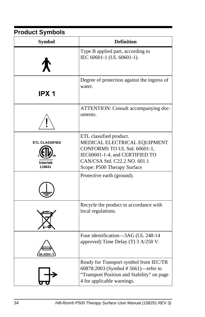## <span id="page-39-0"></span>**Product Symbols**

| <b>Symbol</b>                                     | <b>Definition</b>                                                                                                                                                                        |
|---------------------------------------------------|------------------------------------------------------------------------------------------------------------------------------------------------------------------------------------------|
|                                                   | Type B applied part, according to<br>IEC 60601-1 (UL 60601-1).                                                                                                                           |
| IPX <sub>1</sub>                                  | Degree of protection against the ingress of<br>water.                                                                                                                                    |
|                                                   | ATTENTION: Consult accompanying doc-<br>uments.                                                                                                                                          |
| <b>ETL CLASSIFIED</b><br><b>ntertek</b><br>118841 | ETL classified product.<br>MEDICAL ELECTRICAL EQUIPMENT<br>CONFORMS TO UL Std. 60601-1,<br>IEC60601-1-4, and CERTIFIED TO<br>CAN/CSA Std. C22.2 NO. 601.1<br>Scope: P500 Therapy Surface |
|                                                   | Protective earth (ground).                                                                                                                                                               |
|                                                   | Recycle the product in accordance with<br>local regulations.                                                                                                                             |
|                                                   | Fuse identification-3AG (UL 248-14<br>approved) Time Delay (T) 3 A/250 V.                                                                                                                |
|                                                   | Ready for Transport symbol from IEC/TR<br>60878:2003 (Symbol #5661)-refer to<br>"Transport Position and Stability" on page<br>4 for applicable warnings.                                 |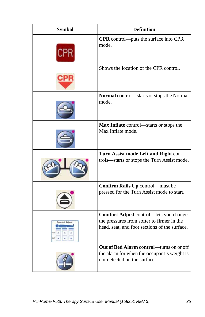| <b>Symbol</b> | <b>Definition</b>                                                                                                                     |
|---------------|---------------------------------------------------------------------------------------------------------------------------------------|
|               | CPR control—puts the surface into CPR<br>mode.                                                                                        |
|               | Shows the location of the CPR control.                                                                                                |
|               | Normal control-starts or stops the Normal<br>mode.                                                                                    |
|               | Max Inflate control-starts or stops the<br>Max Inflate mode.                                                                          |
|               | Turn Assist mode Left and Right con-<br>trols—starts or stops the Turn Assist mode.                                                   |
|               | Confirm Rails Up control-must be<br>pressed for the Turn Assist mode to start.                                                        |
|               | Comfort Adjust control-lets you change<br>the pressures from softer to firmer in the<br>head, seat, and foot sections of the surface. |
|               | Out of Bed Alarm control-turns on or off<br>the alarm for when the occupant's weight is<br>not detected on the surface.               |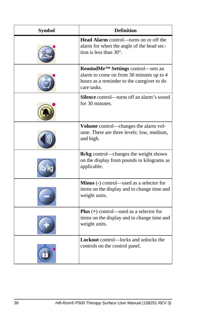| <b>Symbol</b> | <b>Definition</b>                                                                                                                                       |
|---------------|---------------------------------------------------------------------------------------------------------------------------------------------------------|
|               | Head Alarm control-turns on or off the<br>alarm for when the angle of the head sec-<br>tion is less than $30^\circ$ .                                   |
|               | RemindMe <sup>™</sup> Settings control—sets an<br>alarm to come on from 30 minutes up to 4<br>hours as a reminder to the caregiver to do<br>care tasks. |
|               | <b>Silence</b> control—turns off an alarm's sound<br>for 30 minutes.                                                                                    |
|               | Volume control—changes the alarm vol-<br>ume. There are three levels: low, medium,<br>and high.                                                         |
|               | lb/kg control-changes the weight shown<br>on the display from pounds to kilograms as<br>applicable.                                                     |
|               | Minus (-) control—used as a selector for<br>items on the display and to change time and<br>weight units.                                                |
|               | <b>Plus</b> $(+)$ control—used as a selector for<br>items on the display and to change time and<br>weight units.                                        |
|               | <b>Lockout</b> control—locks and unlocks the<br>controls on the control panel.                                                                          |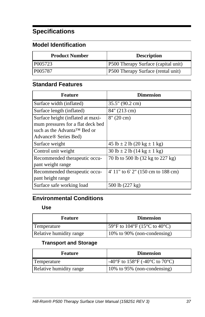## <span id="page-42-0"></span>**Specifications**

### <span id="page-42-1"></span>**Model Identification**

| <b>Product Number</b> | <b>Description</b>                         |
|-----------------------|--------------------------------------------|
| P005723               | <b>P500 Therapy Surface (capital unit)</b> |
| P005787               | <b>P500 Therapy Surface (rental unit)</b>  |

### <span id="page-42-2"></span>**Standard Features**

| <b>Feature</b>                                                                                                                                         | <b>Dimension</b>                     |
|--------------------------------------------------------------------------------------------------------------------------------------------------------|--------------------------------------|
| Surface width (inflated)                                                                                                                               | 35.5" (90.2 cm)                      |
| Surface length (inflated)                                                                                                                              | 84" (213 cm)                         |
| Surface height (inflated at maxi-<br>mum pressures for a flat deck bed<br>such as the Advanta <sup>TM</sup> Bed or<br>Advance <sup>®</sup> Series Bed) | $8''(20 \text{ cm})$                 |
| Surface weight                                                                                                                                         | $45 lb \pm 2 lb (20 kg \pm 1 kg)$    |
| Control unit weight                                                                                                                                    | $30 lb \pm 2 lb (14 kg \pm 1 kg)$    |
| Recommended therapeutic occu-<br>pant weight range                                                                                                     | 70 lb to 500 lb (32 kg to 227 kg)    |
| Recommended therapeutic occu-<br>pant height range                                                                                                     | $4'$ 11" to 6' 2" (150 cm to 188 cm) |
| Surface safe working load                                                                                                                              | 500 lb (227 kg)                      |

### <span id="page-42-4"></span><span id="page-42-3"></span>**Environmental Conditions**

#### **Use**

| <b>Feature</b>          | <b>Dimension</b>              |
|-------------------------|-------------------------------|
| Temperature             | [59°F to 104°F (15°C to 40°C) |
| Relative humidity range | 10% to 90% (non-condensing)   |

#### **Transport and Storage**

<span id="page-42-5"></span>

| <b>Feature</b>          | <b>Dimension</b>                                                          |
|-------------------------|---------------------------------------------------------------------------|
| Temperature             | $-40^{\circ}$ F to 158 $^{\circ}$ F (-40 $^{\circ}$ C to 70 $^{\circ}$ C) |
| Relative humidity range | $10\%$ to 95% (non-condensing)                                            |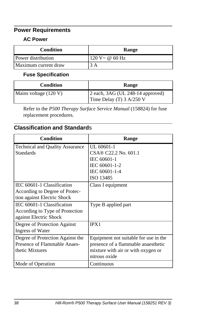### <span id="page-43-1"></span><span id="page-43-0"></span>**Power Requirements**

#### **AC Power**

| <b>Condition</b>     | Range             |
|----------------------|-------------------|
| Power distribution   | $120 V - @ 60 Hz$ |
| Maximum current draw | 3 A               |

### **Fuse Specification**

<span id="page-43-2"></span>

| <b>Condition</b>      | Range                                                                                  |  |
|-----------------------|----------------------------------------------------------------------------------------|--|
| Mains voltage (120 V) | $\vert$ 2 each, 3AG (UL 248-14 approved)<br>Time Delay (T) $3 \text{ A}/250 \text{ V}$ |  |

Refer to the *P500 Therapy Surface Service Manual* (158824) for fuse replacement procedures.

### <span id="page-43-3"></span>**Classification and Standard**s

| <b>Condition</b>                       | Range                                 |
|----------------------------------------|---------------------------------------|
| <b>Technical and Quality Assurance</b> | UL 60601-1                            |
| <b>Standards</b>                       | CSA® C22.2 No. 601.1                  |
|                                        | IEC 60601-1                           |
|                                        | IEC 60601-1-2                         |
|                                        | IEC 60601-1-4                         |
|                                        | ISO 13485                             |
| IEC 60601-1 Classification             | Class I equipment                     |
| According to Degree of Protec-         |                                       |
| tion against Electric Shock            |                                       |
| IEC 60601-1 Classification             | Type B applied part                   |
| According to Type of Protection        |                                       |
| against Electric Shock                 |                                       |
| Degree of Protection Against           | IPX1                                  |
| <b>Ingress of Water</b>                |                                       |
| Degree of Protection Against the       | Equipment not suitable for use in the |
| Presence of Flammable Anaes-           | presence of a flammable anaesthetic   |
| thetic Mixtures                        | mixture with air or with oxygen or    |
|                                        | nitrous oxide                         |
| Mode of Operation                      | Continuous                            |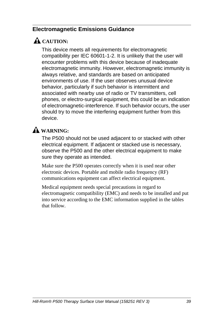### <span id="page-44-0"></span>**Electromagnetic Emissions Guidance**

### A CAUTION:

This device meets all requirements for electromagnetic compatibility per IEC 60601-1-2. It is unlikely that the user will encounter problems with this device because of inadequate electromagnetic immunity. However, electromagnetic immunity is always relative, and standards are based on anticipated environments of use. If the user observes unusual device behavior, particularly if such behavior is intermittent and associated with nearby use of radio or TV transmitters, cell phones, or electro-surgical equipment, this could be an indication of electromagnetic-interference. If such behavior occurs, the user should try to move the interfering equipment further from this device.

### **WARNING:**

The P500 should not be used adjacent to or stacked with other electrical equipment. If adjacent or stacked use is necessary, observe the P500 and the other electrical equipment to make sure they operate as intended.

Make sure the P500 operates correctly when it is used near other electronic devices. Portable and mobile radio frequency (RF) communications equipment can affect electrical equipment.

Medical equipment needs special precautions in regard to electromagnetic compatibility (EMC) and needs to be installed and put into service according to the EMC information supplied in the tables that follow.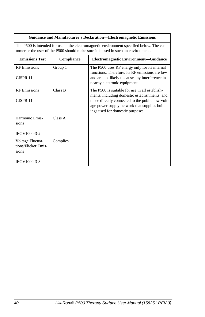| <b>Guidance and Manufacturer's Declaration—Electromagnetic Emissions</b>                                                                                                       |            |                                                                                                                                                    |  |
|--------------------------------------------------------------------------------------------------------------------------------------------------------------------------------|------------|----------------------------------------------------------------------------------------------------------------------------------------------------|--|
| The P500 is intended for use in the electromagnetic environment specified below. The cus-<br>tomer or the user of the P500 should make sure it is used in such an environment. |            |                                                                                                                                                    |  |
| <b>Emissions Test</b>                                                                                                                                                          | Compliance | <b>Electromagnetic Environment-Guidance</b>                                                                                                        |  |
| <b>RF</b> Emissions<br>CISPR <sub>11</sub>                                                                                                                                     | Group 1    | The P500 uses RF energy only for its internal<br>functions. Therefore, its RF emissions are low<br>and are not likely to cause any interference in |  |
|                                                                                                                                                                                |            | nearby electronic equipment.                                                                                                                       |  |
| <b>RF</b> Emissions                                                                                                                                                            | Class B    | The P500 is suitable for use in all establish-<br>ments, including domestic establishments, and                                                    |  |
| CISPR 11                                                                                                                                                                       |            | those directly connected to the public low-volt-<br>age power supply network that supplies build-<br>ings used for domestic purposes.              |  |
| Harmonic Emis-<br>sions                                                                                                                                                        | Class A    |                                                                                                                                                    |  |
| IEC 61000-3-2                                                                                                                                                                  |            |                                                                                                                                                    |  |
| Voltage Fluctua-<br>tions/Flicker Emis-<br>sions                                                                                                                               | Complies   |                                                                                                                                                    |  |
| IEC 61000-3-3                                                                                                                                                                  |            |                                                                                                                                                    |  |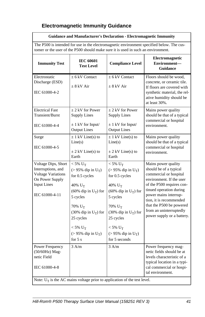#### <span id="page-46-0"></span>**Electromagnetic Immunity Guidance**

#### **Guidance and Manufacturer's Declaration - Electromagnetic Immunity**

The P500 is intended for use in the electromagnetic environment specified below. The customer or the user of the P500 should make sure it is used in such an environment.

| <b>Immunity Test</b>                                                                                                              | <b>IEC 60601</b><br><b>Test Level</b>                                                                                                                                                                                                                               | <b>Compliance Level</b>                                                                                                                                                                                                                                           | <b>Electromagnetic</b><br>Environment-<br>Guidance                                                                                                                                                                                                                                                   |
|-----------------------------------------------------------------------------------------------------------------------------------|---------------------------------------------------------------------------------------------------------------------------------------------------------------------------------------------------------------------------------------------------------------------|-------------------------------------------------------------------------------------------------------------------------------------------------------------------------------------------------------------------------------------------------------------------|------------------------------------------------------------------------------------------------------------------------------------------------------------------------------------------------------------------------------------------------------------------------------------------------------|
| Electrostatic<br>Discharge (ESD)<br>IEC 61000-4-2                                                                                 | $\pm$ 6 kV Contact<br>$+8$ kV Air                                                                                                                                                                                                                                   | $\pm$ 6 kV Contact<br>$+8$ kV Air                                                                                                                                                                                                                                 | Floors should be wood,<br>concrete, or ceramic tile.<br>If floors are covered with<br>synthetic material, the rel-<br>ative humidity should be<br>at least 30%.                                                                                                                                      |
| <b>Electrical Fast</b><br>Transient/Burst<br>IEC 61000-4-4                                                                        | $\pm$ 2 kV for Power<br><b>Supply Lines</b><br>$\pm$ 1 kV for Input/<br><b>Output Lines</b>                                                                                                                                                                         | $\pm$ 2 kV for Power<br><b>Supply Lines</b><br>$\pm$ 1 kV for Input/<br><b>Output Lines</b>                                                                                                                                                                       | Mains power quality<br>should be that of a typical<br>commercial or hospital<br>environment.                                                                                                                                                                                                         |
| Surge<br>IEC 61000-4-5                                                                                                            | $\pm$ 1 kV Line(s) to<br>Line(s)<br>$\pm$ 2 kV Line(s) to<br>Earth                                                                                                                                                                                                  | $\pm$ 1 kV Line(s) to<br>Line(s)<br>$\pm$ 2 kV Line(s) to<br>Earth                                                                                                                                                                                                | Mains power quality<br>should be that of a typical<br>commercial or hospital<br>environment.                                                                                                                                                                                                         |
| Voltage Dips, Short<br>Interruptions, and<br><b>Voltage Variations</b><br>On Power Supply<br><b>Input Lines</b><br>IEC 61000-4-11 | $< 5\%$ U <sub>T</sub><br>$(> 95\%$ dip in U <sub>T</sub> )<br>for 0.5 cycles<br>40% $U_T$<br>(60% dip in $U_T$ ) for<br>5 cycles<br>$70\%$ U <sub>T</sub><br>(30% dip in $U_T$ ) for<br>25 cycles<br>$<$ 5% $U_T$<br>$(> 95\%$ dip in U <sub>T</sub> )<br>for $5s$ | $<$ 5% $U_T$<br>$(> 95\%$ dip in U <sub>T</sub> )<br>for 0.5 cycles<br>$40\%$ U <sub>T</sub><br>(60% dip in $U_T$ ) for<br>5 cycles<br>$70\%$ U <sub>T</sub><br>(30% dip in $U_T$ ) for<br>25 cycles<br>$<$ 5% $U_T$<br>$(> 95\%$ dip in $U_T$ )<br>for 5 seconds | Mains power quality<br>should be of a typical<br>commercial or hospital<br>environment. If the user<br>of the P500 requires con-<br>tinued operation during<br>power mains interrup-<br>tion, it is recommended<br>that the P500 be powered<br>from an uninterruptedly<br>power supply or a battery. |
| Power Frequency<br>(50/60Hz) Mag-<br>netic Field<br>IEC 61000-4-8                                                                 | 3 A/m                                                                                                                                                                                                                                                               | 3 A/m<br>Note: $U_T$ is the AC mains voltage prior to application of the test level.                                                                                                                                                                              | Power frequency mag-<br>netic fields should be at<br>levels characteristic of a<br>typical location in a typi-<br>cal commercial or hospi-<br>tal environment.                                                                                                                                       |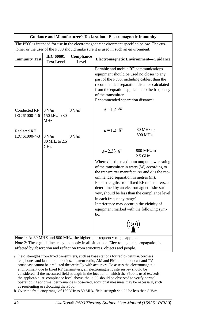| <b>Guidance and Manufacturer's Declaration - Electromagnetic Immunity</b>                 |                                       |                     |                                                                                                                                                                                                                                                                                                                                                                                                                                                                                                                 |
|-------------------------------------------------------------------------------------------|---------------------------------------|---------------------|-----------------------------------------------------------------------------------------------------------------------------------------------------------------------------------------------------------------------------------------------------------------------------------------------------------------------------------------------------------------------------------------------------------------------------------------------------------------------------------------------------------------|
| The P500 is intended for use in the electromagnetic environment specified below. The cus- |                                       |                     |                                                                                                                                                                                                                                                                                                                                                                                                                                                                                                                 |
|                                                                                           |                                       |                     | tomer or the user of the P500 should make sure it is used in such an environment.                                                                                                                                                                                                                                                                                                                                                                                                                               |
| <b>Immunity Test</b>                                                                      | <b>IEC 60601</b><br><b>Test Level</b> | Compliance<br>Level | Electromagnetic Environment-Guidance                                                                                                                                                                                                                                                                                                                                                                                                                                                                            |
|                                                                                           |                                       |                     | Portable and mobile RF communications<br>equipment should be used no closer to any<br>part of the P500, including cables, than the<br>recommended separation distance calculated<br>from the equation applicable to the frequency<br>of the transmitter.<br>Recommended separation distance:                                                                                                                                                                                                                    |
| <b>Conducted RF</b><br>IEC 61000-4-6                                                      | 3 V/m<br>150 kHz to 80<br>MHz         | 3 V/m               | $d=1.2 \sqrt{P}$                                                                                                                                                                                                                                                                                                                                                                                                                                                                                                |
| <b>Radiated RF</b><br>IEC 61000-4-3                                                       | 3 V/m<br>80 MHz to 2.5<br>GHz         | 3 V/m               | 80 MHz to<br>$d=1.2 \sqrt{P}$<br>800 MHz                                                                                                                                                                                                                                                                                                                                                                                                                                                                        |
|                                                                                           |                                       |                     | $d=2.33 \sqrt{P}$<br>800 MHz to<br>$2.5$ GHz                                                                                                                                                                                                                                                                                                                                                                                                                                                                    |
|                                                                                           |                                       |                     | Where $P$ is the maximum output power rating<br>of the transmitter in watts (W) according to<br>the transmitter manufacturer and d is the rec-<br>ommended separation in metres (m).<br>Field strengths from fixed RF transmitters, as<br>determined by an electromagnetic site sur-<br>vey <sup>a</sup> , should be less than the compliance level<br>in each frequency range <sup>*</sup> .<br>Interference may occur in the vicinity of<br>equipment marked with the following sym-<br>bol.<br>$((\bullet))$ |
|                                                                                           |                                       |                     | Note 1: At 80 MHZ and 800 MHz, the higher the frequency range applies.                                                                                                                                                                                                                                                                                                                                                                                                                                          |
|                                                                                           |                                       |                     | Note 2: These guidelines may not apply in all situations. Electromagnetic propagation is                                                                                                                                                                                                                                                                                                                                                                                                                        |
|                                                                                           |                                       |                     | affected by absorption and reflection from structures, objects and people.                                                                                                                                                                                                                                                                                                                                                                                                                                      |

a. Field strengths from fixed transmitters, such as base stations for radio (cellular/cordless) telephones and land mobile radios, amateur radio, AM and FM radio broadcast and TV broadcast cannot be predicted theoretically with accuracy. To assess the electromagnetic environment due to fixed RF transmitters, an electromagnetic site survey should be considered. If the measured field strength in the location in which the P500 is used exceeds the applicable RF compliance level above, the P500 should be observed to verify normal operation. If abnormal performance is observed, additional measures may be necessary, such as reorienting or relocating the P500.

b. Over the frequency range of 150 kHz to 80 MHz, field strength should be less than *3* V/m.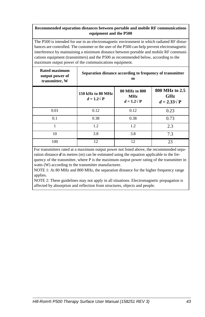#### **Recommended separation distances between portable and mobile RF communications equipment and the P500**

The P500 is intended for use in an electromagnetic environment in which radiated RF disturbances are controlled. The customer or the user of the P500 can help prevent electromagnetic interference by maintaining a minimum distance between portable and mobile RF communications equipment (transmitters) and the P500 as recommended below, according to the maximum output power of the communications equipment.

| Rated maximum<br>output power of<br>transmitter, W | Separation distance according to frequency of transmitter<br>m |                                                  |                                                    |
|----------------------------------------------------|----------------------------------------------------------------|--------------------------------------------------|----------------------------------------------------|
|                                                    | 150 kHz to 80 MHz<br>$d = 1.2\sqrt{P}$                         | 80 MHz to 800<br><b>MHz</b><br>$d = 1.2\sqrt{P}$ | 800 MHz to 2.5<br><b>GHz</b><br>$d = 2.33\sqrt{P}$ |
| 0.01                                               | 0.12                                                           | 0.12                                             | 0.23                                               |
| 0.1                                                | 0.38                                                           | 0.38                                             | 0.73                                               |
| 1                                                  | 1.2                                                            | 1.2                                              | 2.3                                                |
| 10                                                 | 3.8                                                            | 3.8                                              | 7.3                                                |
| 100                                                | 12                                                             | 12                                               | 23                                                 |

For transmitters rated at a maximum output power not listed above, the recommended separation distance  $\boldsymbol{d}$  in metres (m) can be estimated using the equation applicable to the fre-

quency of the transmitter, where P is the maximum output power rating of the transmitter in watts (W) according to the transmitter manufacturer.

NOTE 1: At 80 MHz and 800 MHz, the separation distance for the higher frequency range applies.

NOTE 2: These guidelines may not apply in all situations. Electromagnetic propagation is affected by absorption and reflection from structures, objects and people.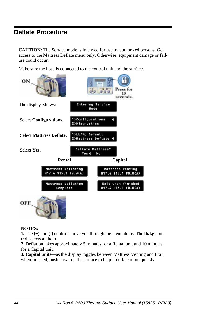### <span id="page-49-0"></span>**Deflate Procedure**

**CAUTION:** The Service mode is intended for use by authorized persons. Get access to the Mattress Deflate menu only. Otherwise, equipment damage or failure could occur.

Make sure the hose is connected to the control unit and the surface.



#### **NOTES:**

**1.** The **(+)** and **(-)** controls move you through the menu items. The **lb/kg** control selects an item.

**2.** Deflation takes approximately 5 minutes for a Rental unit and 10 minutes for a Capital unit.

**3. Capital units**—as the display toggles between Mattress Venting and Exit when finished, push down on the surface to help it deflate more quickly.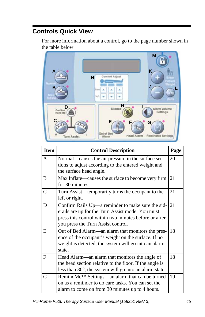## <span id="page-50-0"></span>**Controls Quick View**

For more information about a control, go to the page number shown in the table below.



| <b>Item</b> | <b>Control Description</b>                                                                                                                                                                                 | Page |
|-------------|------------------------------------------------------------------------------------------------------------------------------------------------------------------------------------------------------------|------|
| A           | Normal—causes the air pressure in the surface sec-<br>tions to adjust according to the entered weight and<br>the surface head angle.                                                                       | 20   |
| B           | Max Inflate—causes the surface to become very firm<br>for 30 minutes.                                                                                                                                      | 21   |
| C           | Turn Assist—temporarily turns the occupant to the<br>left or right.                                                                                                                                        | 21   |
| D           | Confirm Rails Up—a reminder to make sure the sid- $ 21$<br>erails are up for the Turn Assist mode. You must<br>press this control within two minutes before or after<br>you press the Turn Assist control. |      |
| E           | Out of Bed Alarm—an alarm that monitors the pres-<br>ence of the occupant's weight on the surface. If no<br>weight is detected, the system will go into an alarm<br>state.                                 | 18   |
| F           | Head Alarm—an alarm that monitors the angle of<br>the head section relative to the floor. If the angle is<br>less than 30°, the system will go into an alarm state.                                        | 18   |
| G           | RemindMe <sup>™</sup> Settings—an alarm that can be turned<br>on as a reminder to do care tasks. You can set the<br>alarm to come on from 30 minutes up to 4 hours.                                        | 19   |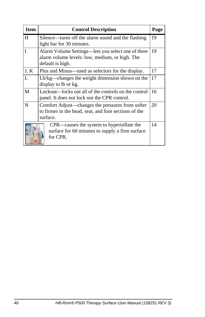| <b>Item</b>  | <b>Control Description</b>                            | Page |
|--------------|-------------------------------------------------------|------|
| H            | Silence—turns off the alarm sound and the flashing    | 19   |
|              | light bar for 30 minutes.                             |      |
| T            | Alarm Volume Settings—lets you select one of three    | 19   |
|              | alarm volume levels: low, medium, or high. The        |      |
|              | default is high.                                      |      |
| J, K         | Plus and Minus—used as selectors for the display.     | 17   |
| $\mathbf{L}$ | Lb/kg—changes the weight dimension shown on the       | 17   |
|              | display to lb or kg.                                  |      |
| M            | Lockout—locks out all of the controls on the control  | 16   |
|              | panel. It does not lock out the CPR control.          |      |
| N            | Comfort Adjust—changes the pressures from softer      | 20   |
|              | to firmer in the head, seat, and foot sections of the |      |
|              | surface.                                              |      |
|              | CPR—causes the system to hyperinflate the             | 14   |
|              | surface for 60 minutes to supply a firm surface       |      |
|              | for CPR.                                              |      |
|              |                                                       |      |